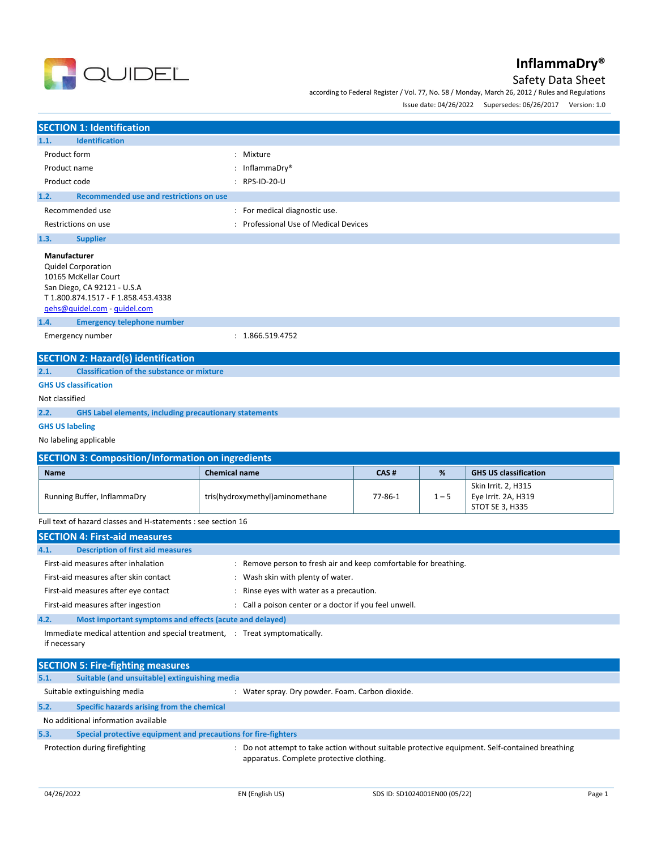

## Safety Data Sheet

according to Federal Register / Vol. 77, No. 58 / Monday, March 26, 2012 / Rules and Regulations

Issue date: 04/26/2022 Supersedes: 06/26/2017 Version: 1.0

| <b>SECTION 1: Identification</b>                                                                                                                                                                                     |                                                                  |         |         |                                                               |  |
|----------------------------------------------------------------------------------------------------------------------------------------------------------------------------------------------------------------------|------------------------------------------------------------------|---------|---------|---------------------------------------------------------------|--|
| 1.1.<br><b>Identification</b>                                                                                                                                                                                        |                                                                  |         |         |                                                               |  |
| Product form                                                                                                                                                                                                         | : Mixture                                                        |         |         |                                                               |  |
| Product name                                                                                                                                                                                                         | : InflammaDry®                                                   |         |         |                                                               |  |
| Product code                                                                                                                                                                                                         | : RPS-ID-20-U                                                    |         |         |                                                               |  |
| 1.2.<br><b>Recommended use and restrictions on use</b>                                                                                                                                                               |                                                                  |         |         |                                                               |  |
| Recommended use                                                                                                                                                                                                      | : For medical diagnostic use.                                    |         |         |                                                               |  |
| Restrictions on use                                                                                                                                                                                                  | : Professional Use of Medical Devices                            |         |         |                                                               |  |
| 1.3.<br><b>Supplier</b>                                                                                                                                                                                              |                                                                  |         |         |                                                               |  |
| Manufacturer<br><b>Quidel Corporation</b><br>10165 McKellar Court<br>San Diego, CA 92121 - U.S.A<br>T 1.800.874.1517 - F 1.858.453.4338<br>gehs@quidel.com - guidel.com<br>1.4.<br><b>Emergency telephone number</b> |                                                                  |         |         |                                                               |  |
|                                                                                                                                                                                                                      |                                                                  |         |         |                                                               |  |
| Emergency number                                                                                                                                                                                                     | : 1.866.519.4752                                                 |         |         |                                                               |  |
| <b>SECTION 2: Hazard(s) identification</b>                                                                                                                                                                           |                                                                  |         |         |                                                               |  |
| 2.1.<br><b>Classification of the substance or mixture</b>                                                                                                                                                            |                                                                  |         |         |                                                               |  |
| <b>GHS US classification</b>                                                                                                                                                                                         |                                                                  |         |         |                                                               |  |
| Not classified                                                                                                                                                                                                       |                                                                  |         |         |                                                               |  |
| 2.2.<br><b>GHS Label elements, including precautionary statements</b>                                                                                                                                                |                                                                  |         |         |                                                               |  |
| <b>GHS US labeling</b>                                                                                                                                                                                               |                                                                  |         |         |                                                               |  |
| No labeling applicable                                                                                                                                                                                               |                                                                  |         |         |                                                               |  |
| <b>SECTION 3: Composition/Information on ingredients</b>                                                                                                                                                             |                                                                  |         |         |                                                               |  |
| <b>Name</b>                                                                                                                                                                                                          | <b>Chemical name</b>                                             | CAS#    | %       | <b>GHS US classification</b>                                  |  |
| Running Buffer, InflammaDry                                                                                                                                                                                          | tris(hydroxymethyl)aminomethane                                  | 77-86-1 | $1 - 5$ | Skin Irrit. 2, H315<br>Eye Irrit. 2A, H319<br>STOT SE 3, H335 |  |
| Full text of hazard classes and H-statements : see section 16                                                                                                                                                        |                                                                  |         |         |                                                               |  |
| <b>SECTION 4: First-aid measures</b>                                                                                                                                                                                 |                                                                  |         |         |                                                               |  |
| <b>Description of first aid measures</b><br>4.1.                                                                                                                                                                     |                                                                  |         |         |                                                               |  |
| First-aid measures after inhalation                                                                                                                                                                                  | : Remove person to fresh air and keep comfortable for breathing. |         |         |                                                               |  |
| First-aid measures after skin contact<br>: Wash skin with plenty of water.                                                                                                                                           |                                                                  |         |         |                                                               |  |
| First-aid measures after eye contact                                                                                                                                                                                 | : Rinse eyes with water as a precaution.                         |         |         |                                                               |  |
| First-aid measures after ingestion<br>: Call a poison center or a doctor if you feel unwell.                                                                                                                         |                                                                  |         |         |                                                               |  |
| 4.2.<br>Most important symptoms and effects (acute and delayed)                                                                                                                                                      |                                                                  |         |         |                                                               |  |
| Immediate medical attention and special treatment, : Treat symptomatically.<br>if necessary                                                                                                                          |                                                                  |         |         |                                                               |  |

|      | <b>SECTION 5: Fire-fighting measures</b>                       |                                                                                                                                           |
|------|----------------------------------------------------------------|-------------------------------------------------------------------------------------------------------------------------------------------|
| 5.1. | Suitable (and unsuitable) extinguishing media                  |                                                                                                                                           |
|      | Suitable extinguishing media                                   | Water spray. Dry powder. Foam. Carbon dioxide.                                                                                            |
| 5.2. | Specific hazards arising from the chemical                     |                                                                                                                                           |
|      | No additional information available                            |                                                                                                                                           |
| 5.3. | Special protective equipment and precautions for fire-fighters |                                                                                                                                           |
|      | Protection during firefighting                                 | Do not attempt to take action without suitable protective equipment. Self-contained breathing<br>apparatus. Complete protective clothing. |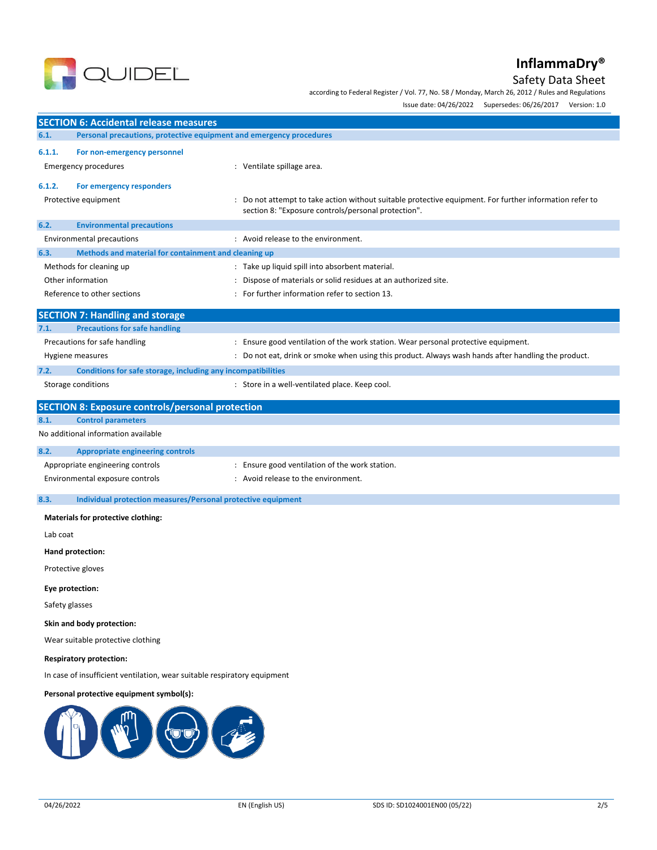

## Safety Data Sheet

according to Federal Register / Vol. 77, No. 58 / Monday, March 26, 2012 / Rules and Regulations

Issue date: 04/26/2022 Supersedes: 06/26/2017 Version: 1.0

|          |                                                                                                            | issue date: 04/26/2022 Supersedes: 06/26/2017<br>version: 1.0                                         |
|----------|------------------------------------------------------------------------------------------------------------|-------------------------------------------------------------------------------------------------------|
|          | <b>SECTION 6: Accidental release measures</b>                                                              |                                                                                                       |
| 6.1.     | Personal precautions, protective equipment and emergency procedures                                        |                                                                                                       |
| 6.1.1.   | For non-emergency personnel                                                                                |                                                                                                       |
|          | <b>Emergency procedures</b>                                                                                | : Ventilate spillage area.                                                                            |
| 6.1.2.   | For emergency responders                                                                                   |                                                                                                       |
|          | Protective equipment                                                                                       | Do not attempt to take action without suitable protective equipment. For further information refer to |
|          |                                                                                                            | section 8: "Exposure controls/personal protection".                                                   |
| 6.2.     | <b>Environmental precautions</b>                                                                           |                                                                                                       |
|          | <b>Environmental precautions</b>                                                                           | : Avoid release to the environment.                                                                   |
| 6.3.     | Methods and material for containment and cleaning up                                                       |                                                                                                       |
|          | Methods for cleaning up                                                                                    | : Take up liquid spill into absorbent material.                                                       |
|          | Other information                                                                                          | Dispose of materials or solid residues at an authorized site.                                         |
|          | Reference to other sections                                                                                | For further information refer to section 13.                                                          |
|          | <b>SECTION 7: Handling and storage</b>                                                                     |                                                                                                       |
| 7.1.     | <b>Precautions for safe handling</b>                                                                       |                                                                                                       |
|          | Precautions for safe handling                                                                              | : Ensure good ventilation of the work station. Wear personal protective equipment.                    |
|          | Hygiene measures                                                                                           | : Do not eat, drink or smoke when using this product. Always wash hands after handling the product.   |
| 7.2.     | Conditions for safe storage, including any incompatibilities                                               |                                                                                                       |
|          | Storage conditions                                                                                         | : Store in a well-ventilated place. Keep cool.                                                        |
|          | <b>SECTION 8: Exposure controls/personal protection</b>                                                    |                                                                                                       |
| 8.1.     | <b>Control parameters</b>                                                                                  |                                                                                                       |
|          | No additional information available                                                                        |                                                                                                       |
| 8.2.     | <b>Appropriate engineering controls</b>                                                                    |                                                                                                       |
|          | Appropriate engineering controls                                                                           | : Ensure good ventilation of the work station.                                                        |
|          | Environmental exposure controls                                                                            | : Avoid release to the environment.                                                                   |
| 8.3.     | Individual protection measures/Personal protective equipment                                               |                                                                                                       |
|          | <b>Materials for protective clothing:</b>                                                                  |                                                                                                       |
| Lab coat |                                                                                                            |                                                                                                       |
|          | Hand protection:                                                                                           |                                                                                                       |
|          | Protective gloves                                                                                          |                                                                                                       |
|          |                                                                                                            |                                                                                                       |
|          | Eye protection:                                                                                            |                                                                                                       |
|          | Safety glasses                                                                                             |                                                                                                       |
|          | Skin and body protection:                                                                                  |                                                                                                       |
|          | Wear suitable protective clothing                                                                          |                                                                                                       |
|          | <b>Respiratory protection:</b><br>In case of insufficient ventilation, wear suitable respiratory equipment |                                                                                                       |
|          |                                                                                                            |                                                                                                       |
|          | Personal protective equipment symbol(s):                                                                   |                                                                                                       |
|          |                                                                                                            |                                                                                                       |

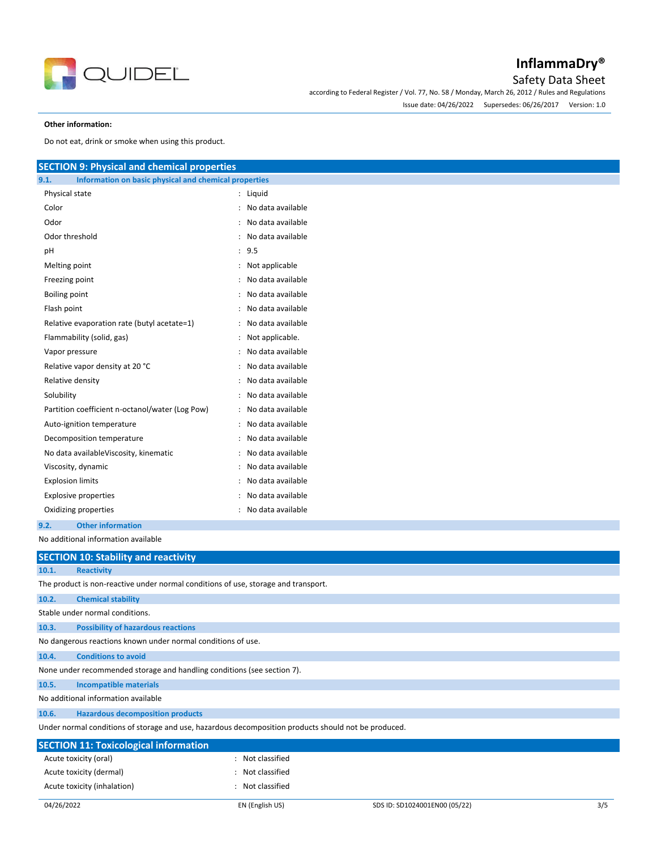

### Safety Data Sheet

according to Federal Register / Vol. 77, No. 58 / Monday, March 26, 2012 / Rules and Regulations Issue date: 04/26/2022 Supersedes: 06/26/2017 Version: 1.0

#### **Other information:**

Do not eat, drink or smoke when using this product.

| <b>SECTION 9: Physical and chemical properties</b>                                 |                     |  |  |  |
|------------------------------------------------------------------------------------|---------------------|--|--|--|
| 9.1.<br>Information on basic physical and chemical properties                      |                     |  |  |  |
| Physical state                                                                     | : Liquid            |  |  |  |
| Color                                                                              | : No data available |  |  |  |
| Odor                                                                               | No data available   |  |  |  |
| Odor threshold                                                                     | : No data available |  |  |  |
| рH                                                                                 | : 9.5               |  |  |  |
| Melting point                                                                      | : Not applicable    |  |  |  |
| Freezing point                                                                     | No data available   |  |  |  |
| <b>Boiling point</b>                                                               | No data available   |  |  |  |
| Flash point                                                                        | No data available   |  |  |  |
| Relative evaporation rate (butyl acetate=1)                                        | No data available   |  |  |  |
| Flammability (solid, gas)                                                          | Not applicable.     |  |  |  |
| Vapor pressure                                                                     | No data available   |  |  |  |
| Relative vapor density at 20 °C                                                    | No data available   |  |  |  |
| Relative density                                                                   | No data available   |  |  |  |
| Solubility                                                                         | No data available   |  |  |  |
| Partition coefficient n-octanol/water (Log Pow)                                    | No data available   |  |  |  |
| Auto-ignition temperature                                                          | No data available   |  |  |  |
| Decomposition temperature                                                          | No data available   |  |  |  |
| No data availableViscosity, kinematic                                              | No data available   |  |  |  |
| Viscosity, dynamic                                                                 | No data available   |  |  |  |
| <b>Explosion limits</b>                                                            | No data available   |  |  |  |
| <b>Explosive properties</b>                                                        | No data available   |  |  |  |
| Oxidizing properties                                                               | : No data available |  |  |  |
| <b>Other information</b><br>9.2.                                                   |                     |  |  |  |
| No additional information available                                                |                     |  |  |  |
| <b>SECTION 10: Stability and reactivity</b>                                        |                     |  |  |  |
| 10.1.<br><b>Reactivity</b>                                                         |                     |  |  |  |
| The product is non-reactive under normal conditions of use, storage and transport. |                     |  |  |  |
| <b>Chemical stability</b><br>10.2.                                                 |                     |  |  |  |
| Stable under normal conditions.                                                    |                     |  |  |  |
| 10.3.<br><b>Possibility of hazardous reactions</b>                                 |                     |  |  |  |
| No dangerous reactions known under normal conditions of use.                       |                     |  |  |  |
| <b>Conditions to avoid</b><br>10.4.                                                |                     |  |  |  |
| None under recommended storage and handling conditions (see section 7).            |                     |  |  |  |

**10.5. Incompatible materials**

No additional information available

**10.6. Hazardous decomposition products**

Under normal conditions of storage and use, hazardous decomposition products should not be produced.

| <b>SECTION 11: Toxicological information</b> |                 |                               |     |
|----------------------------------------------|-----------------|-------------------------------|-----|
| Acute toxicity (oral)                        | Not classified  |                               |     |
| Acute toxicity (dermal)                      | Not classified  |                               |     |
| Acute toxicity (inhalation)                  | Not classified  |                               |     |
| 04/26/2022                                   | EN (English US) | SDS ID: SD1024001EN00 (05/22) | 3/5 |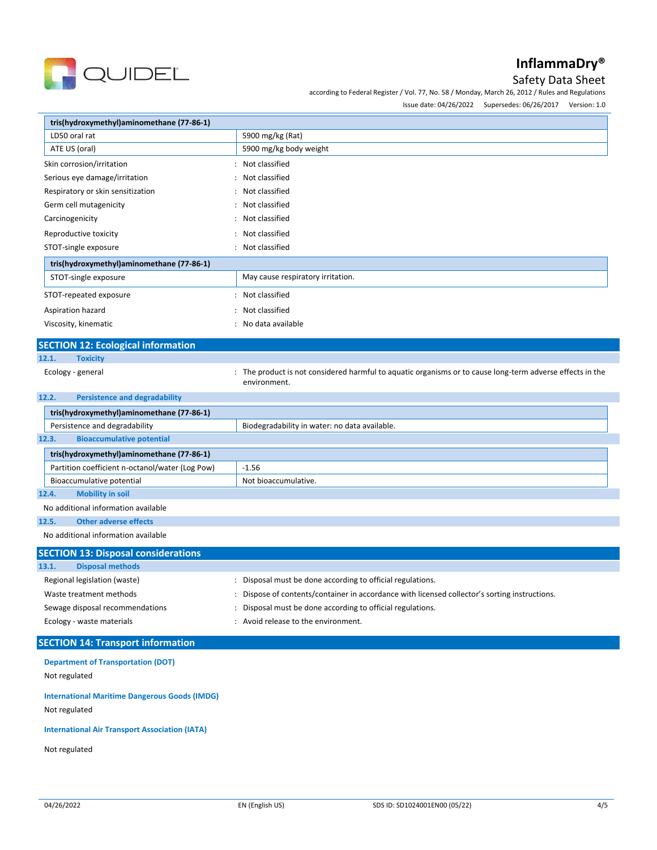

## Safety Data Sheet

according to Federal Register / Vol. 77, No. 58 / Monday, March 26, 2012 / Rules and Regulations

Issue date: 04/26/2022 Supersedes: 06/26/2017 Version: 1.0

| tris(hydroxymethyl)aminomethane (77-86-1)                                                   |                                                                                                                           |  |
|---------------------------------------------------------------------------------------------|---------------------------------------------------------------------------------------------------------------------------|--|
| LD50 oral rat                                                                               | 5900 mg/kg (Rat)                                                                                                          |  |
| ATE US (oral)                                                                               | 5900 mg/kg body weight                                                                                                    |  |
| Skin corrosion/irritation                                                                   | Not classified                                                                                                            |  |
| Serious eye damage/irritation                                                               | Not classified                                                                                                            |  |
| Respiratory or skin sensitization                                                           | Not classified                                                                                                            |  |
| Germ cell mutagenicity                                                                      | Not classified                                                                                                            |  |
| Carcinogenicity                                                                             | Not classified                                                                                                            |  |
| Reproductive toxicity                                                                       | Not classified                                                                                                            |  |
| STOT-single exposure                                                                        | Not classified                                                                                                            |  |
| tris(hydroxymethyl)aminomethane (77-86-1)                                                   |                                                                                                                           |  |
| STOT-single exposure                                                                        | May cause respiratory irritation.                                                                                         |  |
| STOT-repeated exposure                                                                      | : Not classified                                                                                                          |  |
| Aspiration hazard                                                                           | Not classified                                                                                                            |  |
| Viscosity, kinematic                                                                        | No data available                                                                                                         |  |
|                                                                                             |                                                                                                                           |  |
| <b>SECTION 12: Ecological information</b>                                                   |                                                                                                                           |  |
| 12.1.<br><b>Toxicity</b>                                                                    |                                                                                                                           |  |
| Ecology - general                                                                           | : The product is not considered harmful to aquatic organisms or to cause long-term adverse effects in the<br>environment. |  |
| <b>Persistence and degradability</b><br>12.2.                                               |                                                                                                                           |  |
| tris(hydroxymethyl)aminomethane (77-86-1)                                                   |                                                                                                                           |  |
| Persistence and degradability                                                               | Biodegradability in water: no data available.                                                                             |  |
| <b>Bioaccumulative potential</b><br>12.3.                                                   |                                                                                                                           |  |
| tris(hydroxymethyl)aminomethane (77-86-1)                                                   |                                                                                                                           |  |
| Partition coefficient n-octanol/water (Log Pow)                                             | $-1.56$                                                                                                                   |  |
| Bioaccumulative potential                                                                   | Not bioaccumulative.                                                                                                      |  |
| 12.4.<br><b>Mobility in soil</b>                                                            |                                                                                                                           |  |
| No additional information available                                                         |                                                                                                                           |  |
| <b>Other adverse effects</b><br>12.5.                                                       |                                                                                                                           |  |
| No additional information available                                                         |                                                                                                                           |  |
| <b>SECTION 13: Disposal considerations</b>                                                  |                                                                                                                           |  |
| 13.1.<br><b>Disposal methods</b>                                                            |                                                                                                                           |  |
| Regional legislation (waste)                                                                | : Disposal must be done according to official regulations.                                                                |  |
| Waste treatment methods                                                                     | Dispose of contents/container in accordance with licensed collector's sorting instructions.                               |  |
| Sewage disposal recommendations<br>Disposal must be done according to official regulations. |                                                                                                                           |  |
| Ecology - waste materials                                                                   | Avoid release to the environment.                                                                                         |  |
| <b>SECTION 14: Transport information</b>                                                    |                                                                                                                           |  |

**Department of Transportation (DOT)**

Not regulated

**International Maritime Dangerous Goods (IMDG)**

Not regulated

**International Air Transport Association (IATA)**

Not regulated